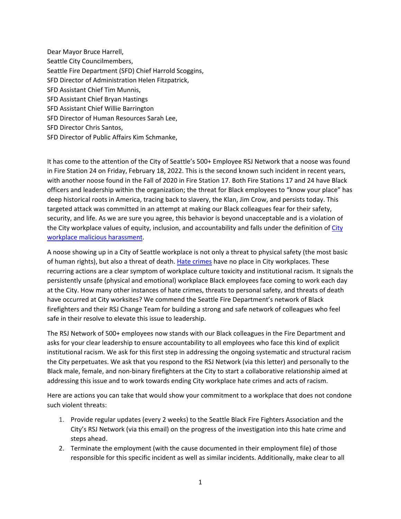Dear Mayor Bruce Harrell, Seattle City Councilmembers, Seattle Fire Department (SFD) Chief Harrold Scoggins, SFD Director of Administration Helen Fitzpatrick, SFD Assistant Chief Tim Munnis, SFD Assistant Chief Bryan Hastings SFD Assistant Chief Willie Barrington SFD Director of Human Resources Sarah Lee, SFD Director Chris Santos, SFD Director of Public Affairs Kim Schmanke,

It has come to the attention of the City of Seattle's 500+ Employee RSJ Network that a noose was found in Fire Station 24 on Friday, February 18, 2022. This is the second known such incident in recent years, with another noose found in the Fall of 2020 in Fire Station 17. Both Fire Stations 17 and 24 have Black officers and leadership within the organization; the threat for Black employees to "know your place" has deep historical roots in America, tracing back to slavery, the Klan, Jim Crow, and persists today. This targeted attack was committed in an attempt at making our Black colleagues fear for their safety, security, and life. As we are sure you agree, this behavior is beyond unacceptable and is a violation of the City workplace values of equity, inclusion, and accountability and falls under the definition of City workplace malicious harassment.

A noose showing up in a City of Seattle workplace is not only a threat to physical safety (the most basic of human rights), but also a threat of death. Hate crimes have no place in City workplaces. These recurring actions are a clear symptom of workplace culture toxicity and institutional racism. It signals the persistently unsafe (physical and emotional) workplace Black employees face coming to work each day at the City. How many other instances of hate crimes, threats to personal safety, and threats of death have occurred at City worksites? We commend the Seattle Fire Department's network of Black firefighters and their RSJ Change Team for building a strong and safe network of colleagues who feel safe in their resolve to elevate this issue to leadership.

The RSJ Network of 500+ employees now stands with our Black colleagues in the Fire Department and asks for your clear leadership to ensure accountability to all employees who face this kind of explicit institutional racism. We ask for this first step in addressing the ongoing systematic and structural racism the City perpetuates. We ask that you respond to the RSJ Network (via this letter) and personally to the Black male, female, and non-binary firefighters at the City to start a collaborative relationship aimed at addressing this issue and to work towards ending City workplace hate crimes and acts of racism.

Here are actions you can take that would show your commitment to a workplace that does not condone such violent threats:

- 1. Provide regular updates (every 2 weeks) to the Seattle Black Fire Fighters Association and the City's RSJ Network (via this email) on the progress of the investigation into this hate crime and steps ahead.
- 2. Terminate the employment (with the cause documented in their employment file) of those responsible for this specific incident as well as similar incidents. Additionally, make clear to all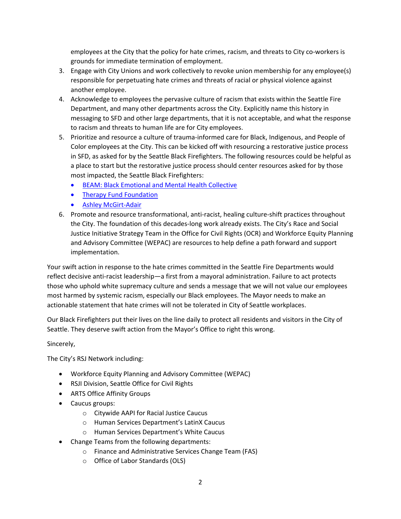employees at the City that the policy for hate crimes, racism, and threats to City co-workers is grounds for immediate termination of employment.

- 3. Engage with City Unions and work collectively to revoke union membership for any employee(s) responsible for perpetuating hate crimes and threats of racial or physical violence against another employee.
- 4. Acknowledge to employees the pervasive culture of racism that exists within the Seattle Fire Department, and many other departments across the City. Explicitly name this history in messaging to SFD and other large departments, that it is not acceptable, and what the response to racism and threats to human life are for City employees.
- 5. Prioritize and resource a culture of trauma-informed care for Black, Indigenous, and People of Color employees at the City. This can be kicked off with resourcing a restorative justice process in SFD, as asked for by the Seattle Black Firefighters. The following resources could be helpful as a place to start but the restorative justice process should center resources asked for by those most impacted, the Seattle Black Firefighters:
	- BEAM: Black Emotional and Mental Health Collective
	- Therapy Fund Foundation
	- Ashley McGirt-Adair
- 6. Promote and resource transformational, anti-racist, healing culture-shift practices throughout the City. The foundation of this decades-long work already exists. The City's Race and Social Justice Initiative Strategy Team in the Office for Civil Rights (OCR) and Workforce Equity Planning and Advisory Committee (WEPAC) are resources to help define a path forward and support implementation.

Your swift action in response to the hate crimes committed in the Seattle Fire Departments would reflect decisive anti-racist leadership—a first from a mayoral administration. Failure to act protects those who uphold white supremacy culture and sends a message that we will not value our employees most harmed by systemic racism, especially our Black employees. The Mayor needs to make an actionable statement that hate crimes will not be tolerated in City of Seattle workplaces.

Our Black Firefighters put their lives on the line daily to protect all residents and visitors in the City of Seattle. They deserve swift action from the Mayor's Office to right this wrong.

## Sincerely,

The City's RSJ Network including:

- Workforce Equity Planning and Advisory Committee (WEPAC)
- RSJI Division, Seattle Office for Civil Rights
- ARTS Office Affinity Groups
- Caucus groups:
	- o Citywide AAPI for Racial Justice Caucus
	- o Human Services Department's LatinX Caucus
	- o Human Services Department's White Caucus
- Change Teams from the following departments:
	- o Finance and Administrative Services Change Team (FAS)
	- o Office of Labor Standards (OLS)